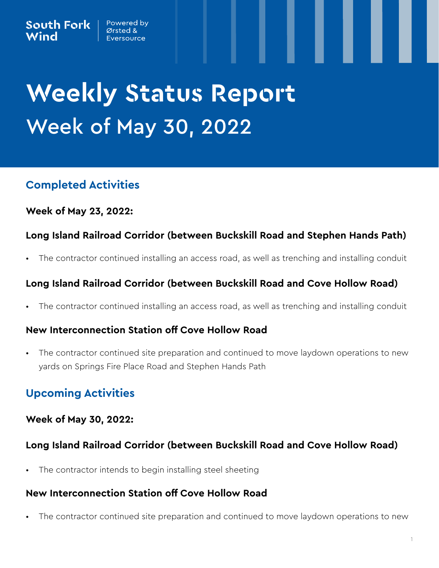# **Weekly Status Report** Week of May 30, 2022

## **Completed Activities**

## **Week of May 23, 2022:**

## **Long Island Railroad Corridor (between Buckskill Road and Stephen Hands Path)**

• The contractor continued installing an access road, as well as trenching and installing conduit

## **Long Island Railroad Corridor (between Buckskill Road and Cove Hollow Road)**

• The contractor continued installing an access road, as well as trenching and installing conduit

## **New Interconnection Station off Cove Hollow Road**

• The contractor continued site preparation and continued to move laydown operations to new yards on Springs Fire Place Road and Stephen Hands Path

# **Upcoming Activities**

## **Week of May 30, 2022:**

## **Long Island Railroad Corridor (between Buckskill Road and Cove Hollow Road)**

The contractor intends to begin installing steel sheeting

#### **New Interconnection Station off Cove Hollow Road**

The contractor continued site preparation and continued to move laydown operations to new